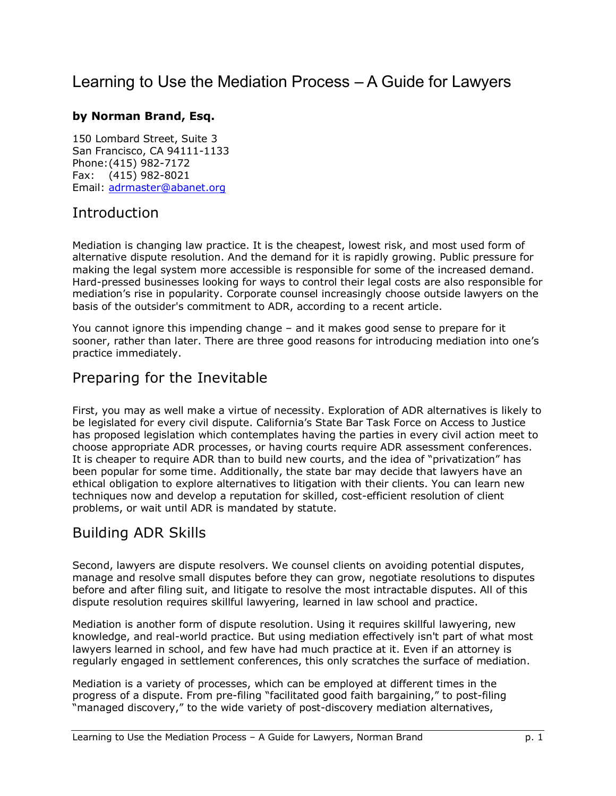# Learning to Use the Mediation Process - A Guide for Lawyers

#### **by Norman Brand, Esq.**

150 Lombard Street, Suite 3 San Francisco, CA 94111-1133 Phone: (415) 982-7172 Fax: (415) 982-8021 Email: adrmaster@abanet.org

#### Introduction

Mediation is changing law practice. It is the cheapest, lowest risk, and most used form of alternative dispute resolution. And the demand for it is rapidly growing. Public pressure for making the legal system more accessible is responsible for some of the increased demand. Hard-pressed businesses looking for ways to control their legal costs are also responsible for mediationís rise in popularity. Corporate counsel increasingly choose outside lawyers on the basis of the outsider's commitment to ADR, according to a recent article.

You cannot ignore this impending change  $-$  and it makes good sense to prepare for it sooner, rather than later. There are three good reasons for introducing mediation into one's practice immediately.

## Preparing for the Inevitable

First, you may as well make a virtue of necessity. Exploration of ADR alternatives is likely to be legislated for every civil dispute. Californiaís State Bar Task Force on Access to Justice has proposed legislation which contemplates having the parties in every civil action meet to choose appropriate ADR processes, or having courts require ADR assessment conferences. It is cheaper to require ADR than to build new courts, and the idea of "privatization" has been popular for some time. Additionally, the state bar may decide that lawyers have an ethical obligation to explore alternatives to litigation with their clients. You can learn new techniques now and develop a reputation for skilled, cost-efficient resolution of client problems, or wait until ADR is mandated by statute.

## Building ADR Skills

Second, lawyers are dispute resolvers. We counsel clients on avoiding potential disputes, manage and resolve small disputes before they can grow, negotiate resolutions to disputes before and after filing suit, and litigate to resolve the most intractable disputes. All of this dispute resolution requires skillful lawyering, learned in law school and practice.

Mediation is another form of dispute resolution. Using it requires skillful lawyering, new knowledge, and real-world practice. But using mediation effectively isn't part of what most lawyers learned in school, and few have had much practice at it. Even if an attorney is regularly engaged in settlement conferences, this only scratches the surface of mediation.

Mediation is a variety of processes, which can be employed at different times in the progress of a dispute. From pre-filing "facilitated good faith bargaining," to post-filing "managed discovery," to the wide variety of post-discovery mediation alternatives,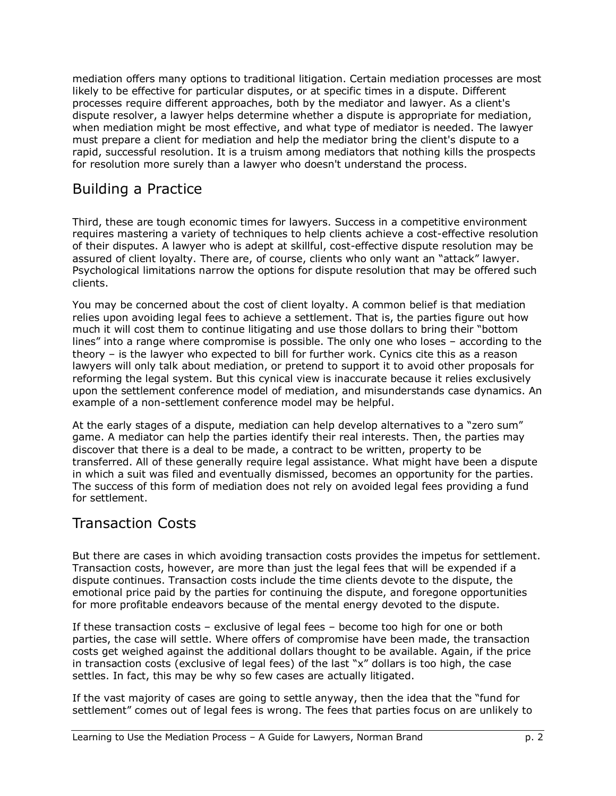mediation offers many options to traditional litigation. Certain mediation processes are most likely to be effective for particular disputes, or at specific times in a dispute. Different processes require different approaches, both by the mediator and lawyer. As a client's dispute resolver, a lawyer helps determine whether a dispute is appropriate for mediation, when mediation might be most effective, and what type of mediator is needed. The lawyer must prepare a client for mediation and help the mediator bring the client's dispute to a rapid, successful resolution. It is a truism among mediators that nothing kills the prospects for resolution more surely than a lawyer who doesn't understand the process.

# Building a Practice

Third, these are tough economic times for lawyers. Success in a competitive environment requires mastering a variety of techniques to help clients achieve a cost-effective resolution of their disputes. A lawyer who is adept at skillful, cost-effective dispute resolution may be assured of client loyalty. There are, of course, clients who only want an "attack" lawyer. Psychological limitations narrow the options for dispute resolution that may be offered such clients.

You may be concerned about the cost of client loyalty. A common belief is that mediation relies upon avoiding legal fees to achieve a settlement. That is, the parties figure out how much it will cost them to continue litigating and use those dollars to bring their "bottom lines" into a range where compromise is possible. The only one who loses  $-$  according to the theory – is the lawyer who expected to bill for further work. Cynics cite this as a reason lawyers will only talk about mediation, or pretend to support it to avoid other proposals for reforming the legal system. But this cynical view is inaccurate because it relies exclusively upon the settlement conference model of mediation, and misunderstands case dynamics. An example of a non-settlement conference model may be helpful.

At the early stages of a dispute, mediation can help develop alternatives to a "zero sum" game. A mediator can help the parties identify their real interests. Then, the parties may discover that there is a deal to be made, a contract to be written, property to be transferred. All of these generally require legal assistance. What might have been a dispute in which a suit was filed and eventually dismissed, becomes an opportunity for the parties. The success of this form of mediation does not rely on avoided legal fees providing a fund for settlement.

## Transaction Costs

But there are cases in which avoiding transaction costs provides the impetus for settlement. Transaction costs, however, are more than just the legal fees that will be expended if a dispute continues. Transaction costs include the time clients devote to the dispute, the emotional price paid by the parties for continuing the dispute, and foregone opportunities for more profitable endeavors because of the mental energy devoted to the dispute.

If these transaction costs  $-$  exclusive of legal fees  $-$  become too high for one or both parties, the case will settle. Where offers of compromise have been made, the transaction costs get weighed against the additional dollars thought to be available. Again, if the price in transaction costs (exclusive of legal fees) of the last "x" dollars is too high, the case settles. In fact, this may be why so few cases are actually litigated.

If the vast majority of cases are going to settle anyway, then the idea that the "fund for settlement" comes out of legal fees is wrong. The fees that parties focus on are unlikely to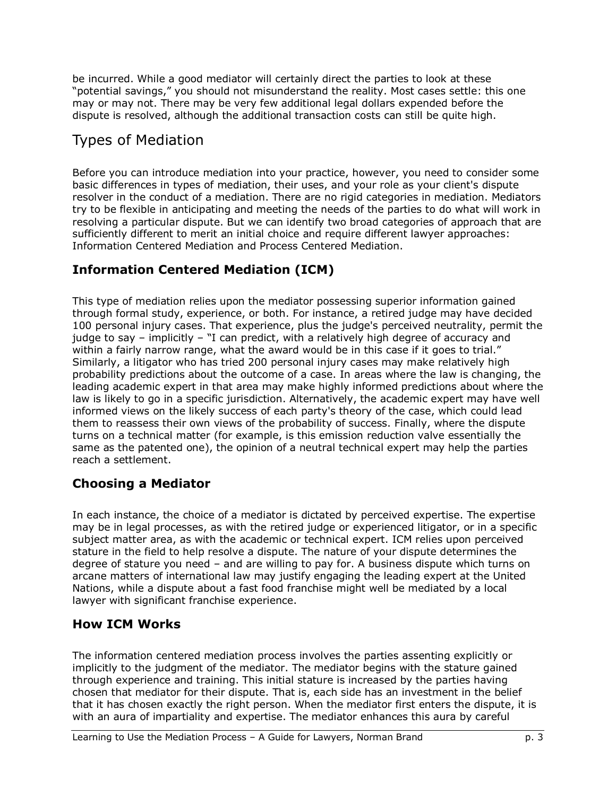be incurred. While a good mediator will certainly direct the parties to look at these "potential savings," you should not misunderstand the reality. Most cases settle: this one may or may not. There may be very few additional legal dollars expended before the dispute is resolved, although the additional transaction costs can still be quite high.

# Types of Mediation

Before you can introduce mediation into your practice, however, you need to consider some basic differences in types of mediation, their uses, and your role as your client's dispute resolver in the conduct of a mediation. There are no rigid categories in mediation. Mediators try to be flexible in anticipating and meeting the needs of the parties to do what will work in resolving a particular dispute. But we can identify two broad categories of approach that are sufficiently different to merit an initial choice and require different lawyer approaches: Information Centered Mediation and Process Centered Mediation.

## **Information Centered Mediation (ICM)**

This type of mediation relies upon the mediator possessing superior information gained through formal study, experience, or both. For instance, a retired judge may have decided 100 personal injury cases. That experience, plus the judge's perceived neutrality, permit the judge to say – implicitly –  $\overline{a}$  can predict, with a relatively high degree of accuracy and within a fairly narrow range, what the award would be in this case if it goes to trial." Similarly, a litigator who has tried 200 personal injury cases may make relatively high probability predictions about the outcome of a case. In areas where the law is changing, the leading academic expert in that area may make highly informed predictions about where the law is likely to go in a specific jurisdiction. Alternatively, the academic expert may have well informed views on the likely success of each party's theory of the case, which could lead them to reassess their own views of the probability of success. Finally, where the dispute turns on a technical matter (for example, is this emission reduction valve essentially the same as the patented one), the opinion of a neutral technical expert may help the parties reach a settlement.

## **Choosing a Mediator**

In each instance, the choice of a mediator is dictated by perceived expertise. The expertise may be in legal processes, as with the retired judge or experienced litigator, or in a specific subject matter area, as with the academic or technical expert. ICM relies upon perceived stature in the field to help resolve a dispute. The nature of your dispute determines the degree of stature you need  $-$  and are willing to pay for. A business dispute which turns on arcane matters of international law may justify engaging the leading expert at the United Nations, while a dispute about a fast food franchise might well be mediated by a local lawyer with significant franchise experience.

## **How ICM Works**

The information centered mediation process involves the parties assenting explicitly or implicitly to the judgment of the mediator. The mediator begins with the stature gained through experience and training. This initial stature is increased by the parties having chosen that mediator for their dispute. That is, each side has an investment in the belief that it has chosen exactly the right person. When the mediator first enters the dispute, it is with an aura of impartiality and expertise. The mediator enhances this aura by careful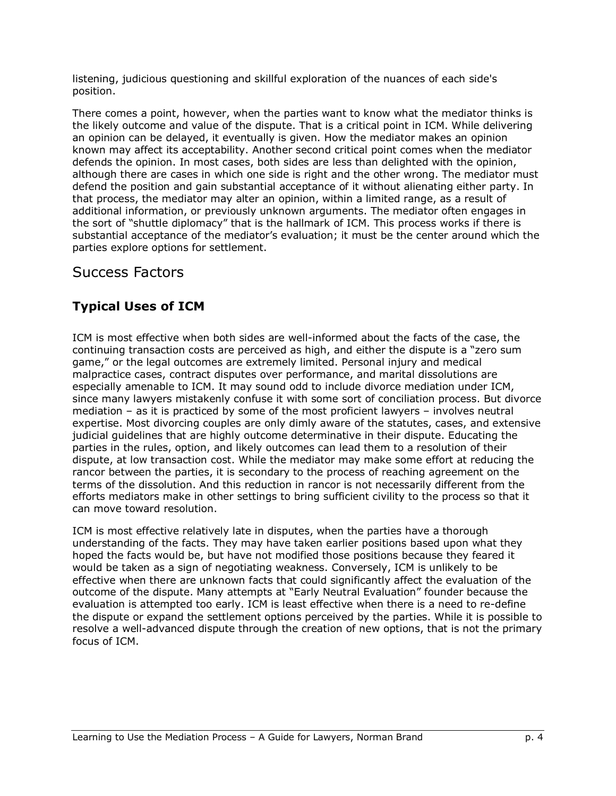listening, judicious questioning and skillful exploration of the nuances of each side's position.

There comes a point, however, when the parties want to know what the mediator thinks is the likely outcome and value of the dispute. That is a critical point in ICM. While delivering an opinion can be delayed, it eventually is given. How the mediator makes an opinion known may affect its acceptability. Another second critical point comes when the mediator defends the opinion. In most cases, both sides are less than delighted with the opinion, although there are cases in which one side is right and the other wrong. The mediator must defend the position and gain substantial acceptance of it without alienating either party. In that process, the mediator may alter an opinion, within a limited range, as a result of additional information, or previously unknown arguments. The mediator often engages in the sort of "shuttle diplomacy" that is the hallmark of ICM. This process works if there is substantial acceptance of the mediator's evaluation; it must be the center around which the parties explore options for settlement.

## Success Factors

## **Typical Uses of ICM**

ICM is most effective when both sides are well-informed about the facts of the case, the continuing transaction costs are perceived as high, and either the dispute is a "zero sum game," or the legal outcomes are extremely limited. Personal injury and medical malpractice cases, contract disputes over performance, and marital dissolutions are especially amenable to ICM. It may sound odd to include divorce mediation under ICM, since many lawyers mistakenly confuse it with some sort of conciliation process. But divorce mediation  $-$  as it is practiced by some of the most proficient lawyers  $-$  involves neutral expertise. Most divorcing couples are only dimly aware of the statutes, cases, and extensive judicial guidelines that are highly outcome determinative in their dispute. Educating the parties in the rules, option, and likely outcomes can lead them to a resolution of their dispute, at low transaction cost. While the mediator may make some effort at reducing the rancor between the parties, it is secondary to the process of reaching agreement on the terms of the dissolution. And this reduction in rancor is not necessarily different from the efforts mediators make in other settings to bring sufficient civility to the process so that it can move toward resolution.

ICM is most effective relatively late in disputes, when the parties have a thorough understanding of the facts. They may have taken earlier positions based upon what they hoped the facts would be, but have not modified those positions because they feared it would be taken as a sign of negotiating weakness. Conversely, ICM is unlikely to be effective when there are unknown facts that could significantly affect the evaluation of the outcome of the dispute. Many attempts at "Early Neutral Evaluation" founder because the evaluation is attempted too early. ICM is least effective when there is a need to re-define the dispute or expand the settlement options perceived by the parties. While it is possible to resolve a well-advanced dispute through the creation of new options, that is not the primary focus of ICM.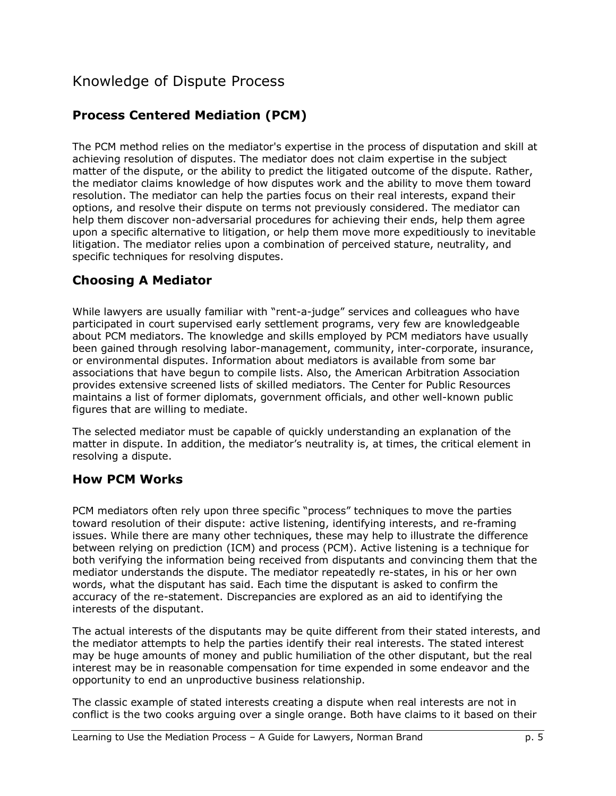# Knowledge of Dispute Process

## **Process Centered Mediation (PCM)**

The PCM method relies on the mediator's expertise in the process of disputation and skill at achieving resolution of disputes. The mediator does not claim expertise in the subject matter of the dispute, or the ability to predict the litigated outcome of the dispute. Rather, the mediator claims knowledge of how disputes work and the ability to move them toward resolution. The mediator can help the parties focus on their real interests, expand their options, and resolve their dispute on terms not previously considered. The mediator can help them discover non-adversarial procedures for achieving their ends, help them agree upon a specific alternative to litigation, or help them move more expeditiously to inevitable litigation. The mediator relies upon a combination of perceived stature, neutrality, and specific techniques for resolving disputes.

#### **Choosing A Mediator**

While lawyers are usually familiar with "rent-a-judge" services and colleagues who have participated in court supervised early settlement programs, very few are knowledgeable about PCM mediators. The knowledge and skills employed by PCM mediators have usually been gained through resolving labor-management, community, inter-corporate, insurance, or environmental disputes. Information about mediators is available from some bar associations that have begun to compile lists. Also, the American Arbitration Association provides extensive screened lists of skilled mediators. The Center for Public Resources maintains a list of former diplomats, government officials, and other well-known public figures that are willing to mediate.

The selected mediator must be capable of quickly understanding an explanation of the matter in dispute. In addition, the mediator's neutrality is, at times, the critical element in resolving a dispute.

#### **How PCM Works**

PCM mediators often rely upon three specific "process" techniques to move the parties toward resolution of their dispute: active listening, identifying interests, and re-framing issues. While there are many other techniques, these may help to illustrate the difference between relying on prediction (ICM) and process (PCM). Active listening is a technique for both verifying the information being received from disputants and convincing them that the mediator understands the dispute. The mediator repeatedly re-states, in his or her own words, what the disputant has said. Each time the disputant is asked to confirm the accuracy of the re-statement. Discrepancies are explored as an aid to identifying the interests of the disputant.

The actual interests of the disputants may be quite different from their stated interests, and the mediator attempts to help the parties identify their real interests. The stated interest may be huge amounts of money and public humiliation of the other disputant, but the real interest may be in reasonable compensation for time expended in some endeavor and the opportunity to end an unproductive business relationship.

The classic example of stated interests creating a dispute when real interests are not in conflict is the two cooks arguing over a single orange. Both have claims to it based on their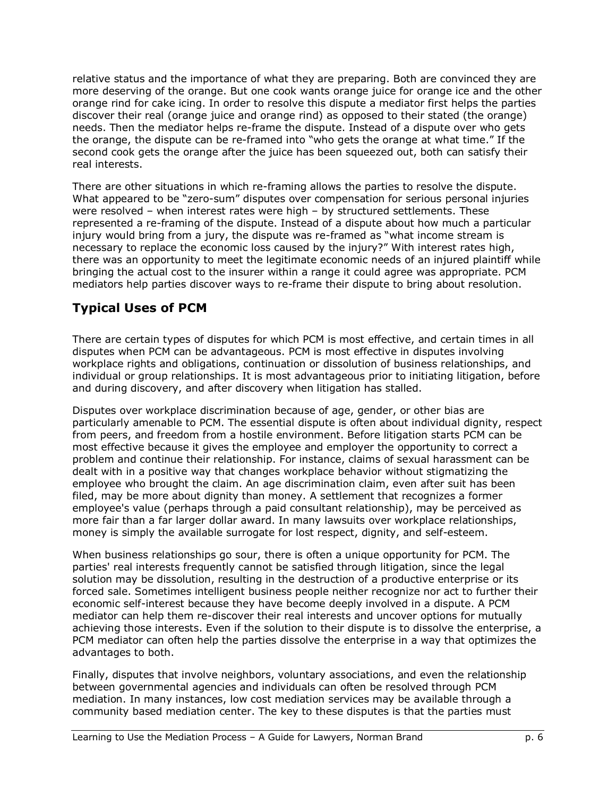relative status and the importance of what they are preparing. Both are convinced they are more deserving of the orange. But one cook wants orange juice for orange ice and the other orange rind for cake icing. In order to resolve this dispute a mediator first helps the parties discover their real (orange juice and orange rind) as opposed to their stated (the orange) needs. Then the mediator helps re-frame the dispute. Instead of a dispute over who gets the orange, the dispute can be re-framed into "who gets the orange at what time." If the second cook gets the orange after the juice has been squeezed out, both can satisfy their real interests.

There are other situations in which re-framing allows the parties to resolve the dispute. What appeared to be "zero-sum" disputes over compensation for serious personal injuries were resolved  $-$  when interest rates were high  $-$  by structured settlements. These represented a re-framing of the dispute. Instead of a dispute about how much a particular injury would bring from a jury, the dispute was re-framed as "what income stream is necessary to replace the economic loss caused by the injury?" With interest rates high, there was an opportunity to meet the legitimate economic needs of an injured plaintiff while bringing the actual cost to the insurer within a range it could agree was appropriate. PCM mediators help parties discover ways to re-frame their dispute to bring about resolution.

## **Typical Uses of PCM**

There are certain types of disputes for which PCM is most effective, and certain times in all disputes when PCM can be advantageous. PCM is most effective in disputes involving workplace rights and obligations, continuation or dissolution of business relationships, and individual or group relationships. It is most advantageous prior to initiating litigation, before and during discovery, and after discovery when litigation has stalled.

Disputes over workplace discrimination because of age, gender, or other bias are particularly amenable to PCM. The essential dispute is often about individual dignity, respect from peers, and freedom from a hostile environment. Before litigation starts PCM can be most effective because it gives the employee and employer the opportunity to correct a problem and continue their relationship. For instance, claims of sexual harassment can be dealt with in a positive way that changes workplace behavior without stigmatizing the employee who brought the claim. An age discrimination claim, even after suit has been filed, may be more about dignity than money. A settlement that recognizes a former employee's value (perhaps through a paid consultant relationship), may be perceived as more fair than a far larger dollar award. In many lawsuits over workplace relationships, money is simply the available surrogate for lost respect, dignity, and self-esteem.

When business relationships go sour, there is often a unique opportunity for PCM. The parties' real interests frequently cannot be satisfied through litigation, since the legal solution may be dissolution, resulting in the destruction of a productive enterprise or its forced sale. Sometimes intelligent business people neither recognize nor act to further their economic self-interest because they have become deeply involved in a dispute. A PCM mediator can help them re-discover their real interests and uncover options for mutually achieving those interests. Even if the solution to their dispute is to dissolve the enterprise, a PCM mediator can often help the parties dissolve the enterprise in a way that optimizes the advantages to both.

Finally, disputes that involve neighbors, voluntary associations, and even the relationship between governmental agencies and individuals can often be resolved through PCM mediation. In many instances, low cost mediation services may be available through a community based mediation center. The key to these disputes is that the parties must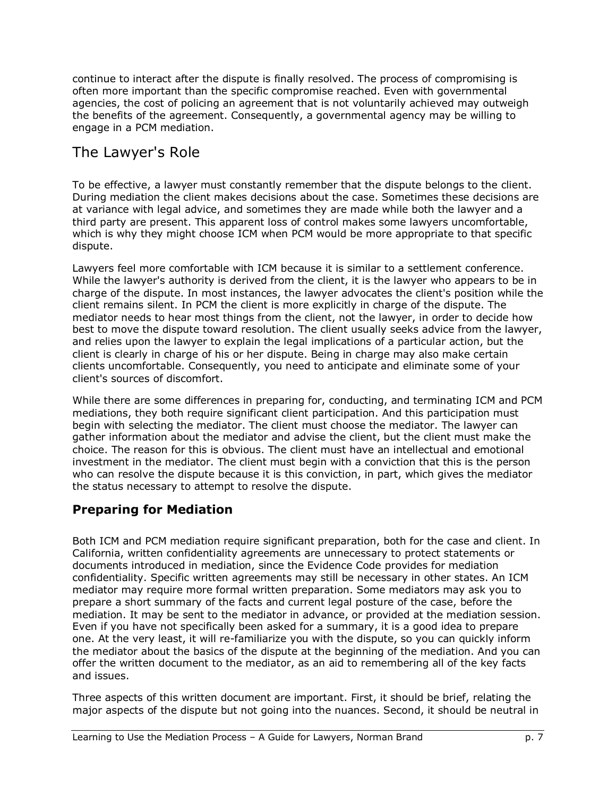continue to interact after the dispute is finally resolved. The process of compromising is often more important than the specific compromise reached. Even with governmental agencies, the cost of policing an agreement that is not voluntarily achieved may outweigh the benefits of the agreement. Consequently, a governmental agency may be willing to engage in a PCM mediation.

## The Lawyer's Role

To be effective, a lawyer must constantly remember that the dispute belongs to the client. During mediation the client makes decisions about the case. Sometimes these decisions are at variance with legal advice, and sometimes they are made while both the lawyer and a third party are present. This apparent loss of control makes some lawyers uncomfortable, which is why they might choose ICM when PCM would be more appropriate to that specific dispute.

Lawyers feel more comfortable with ICM because it is similar to a settlement conference. While the lawyer's authority is derived from the client, it is the lawyer who appears to be in charge of the dispute. In most instances, the lawyer advocates the client's position while the client remains silent. In PCM the client is more explicitly in charge of the dispute. The mediator needs to hear most things from the client, not the lawyer, in order to decide how best to move the dispute toward resolution. The client usually seeks advice from the lawyer, and relies upon the lawyer to explain the legal implications of a particular action, but the client is clearly in charge of his or her dispute. Being in charge may also make certain clients uncomfortable. Consequently, you need to anticipate and eliminate some of your client's sources of discomfort.

While there are some differences in preparing for, conducting, and terminating ICM and PCM mediations, they both require significant client participation. And this participation must begin with selecting the mediator. The client must choose the mediator. The lawyer can gather information about the mediator and advise the client, but the client must make the choice. The reason for this is obvious. The client must have an intellectual and emotional investment in the mediator. The client must begin with a conviction that this is the person who can resolve the dispute because it is this conviction, in part, which gives the mediator the status necessary to attempt to resolve the dispute.

## **Preparing for Mediation**

Both ICM and PCM mediation require significant preparation, both for the case and client. In California, written confidentiality agreements are unnecessary to protect statements or documents introduced in mediation, since the Evidence Code provides for mediation confidentiality. Specific written agreements may still be necessary in other states. An ICM mediator may require more formal written preparation. Some mediators may ask you to prepare a short summary of the facts and current legal posture of the case, before the mediation. It may be sent to the mediator in advance, or provided at the mediation session. Even if you have not specifically been asked for a summary, it is a good idea to prepare one. At the very least, it will re-familiarize you with the dispute, so you can quickly inform the mediator about the basics of the dispute at the beginning of the mediation. And you can offer the written document to the mediator, as an aid to remembering all of the key facts and issues.

Three aspects of this written document are important. First, it should be brief, relating the major aspects of the dispute but not going into the nuances. Second, it should be neutral in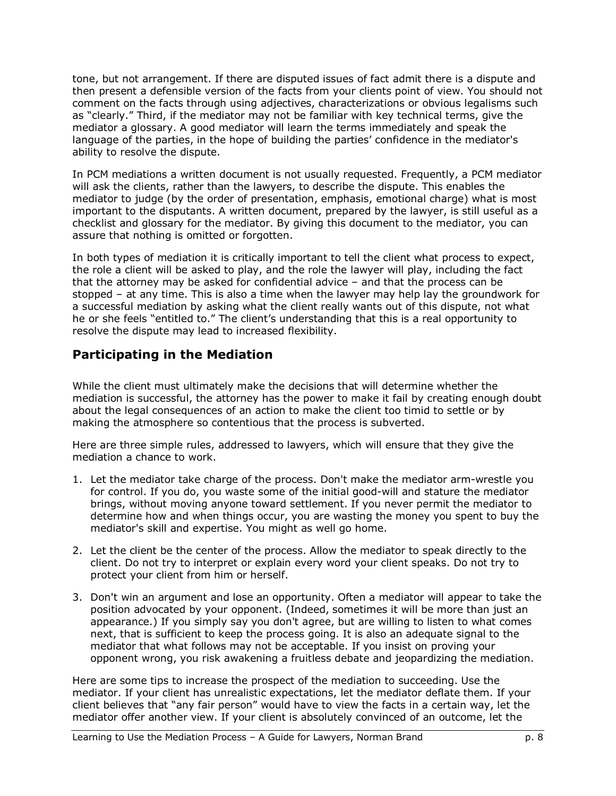tone, but not arrangement. If there are disputed issues of fact admit there is a dispute and then present a defensible version of the facts from your clients point of view. You should not comment on the facts through using adjectives, characterizations or obvious legalisms such as "clearly." Third, if the mediator may not be familiar with key technical terms, give the mediator a glossary. A good mediator will learn the terms immediately and speak the language of the parties, in the hope of building the parties' confidence in the mediator's ability to resolve the dispute.

In PCM mediations a written document is not usually requested. Frequently, a PCM mediator will ask the clients, rather than the lawyers, to describe the dispute. This enables the mediator to judge (by the order of presentation, emphasis, emotional charge) what is most important to the disputants. A written document, prepared by the lawyer, is still useful as a checklist and glossary for the mediator. By giving this document to the mediator, you can assure that nothing is omitted or forgotten.

In both types of mediation it is critically important to tell the client what process to expect, the role a client will be asked to play, and the role the lawyer will play, including the fact that the attorney may be asked for confidential advice  $-$  and that the process can be stopped – at any time. This is also a time when the lawyer may help lay the groundwork for a successful mediation by asking what the client really wants out of this dispute, not what he or she feels "entitled to." The client's understanding that this is a real opportunity to resolve the dispute may lead to increased flexibility.

#### **Participating in the Mediation**

While the client must ultimately make the decisions that will determine whether the mediation is successful, the attorney has the power to make it fail by creating enough doubt about the legal consequences of an action to make the client too timid to settle or by making the atmosphere so contentious that the process is subverted.

Here are three simple rules, addressed to lawyers, which will ensure that they give the mediation a chance to work.

- 1. Let the mediator take charge of the process. Don't make the mediator arm-wrestle you for control. If you do, you waste some of the initial good-will and stature the mediator brings, without moving anyone toward settlement. If you never permit the mediator to determine how and when things occur, you are wasting the money you spent to buy the mediator's skill and expertise. You might as well go home.
- 2. Let the client be the center of the process. Allow the mediator to speak directly to the client. Do not try to interpret or explain every word your client speaks. Do not try to protect your client from him or herself.
- 3. Don't win an argument and lose an opportunity. Often a mediator will appear to take the position advocated by your opponent. (Indeed, sometimes it will be more than just an appearance.) If you simply say you don't agree, but are willing to listen to what comes next, that is sufficient to keep the process going. It is also an adequate signal to the mediator that what follows may not be acceptable. If you insist on proving your opponent wrong, you risk awakening a fruitless debate and jeopardizing the mediation.

Here are some tips to increase the prospect of the mediation to succeeding. Use the mediator. If your client has unrealistic expectations, let the mediator deflate them. If your client believes that "any fair person" would have to view the facts in a certain way, let the mediator offer another view. If your client is absolutely convinced of an outcome, let the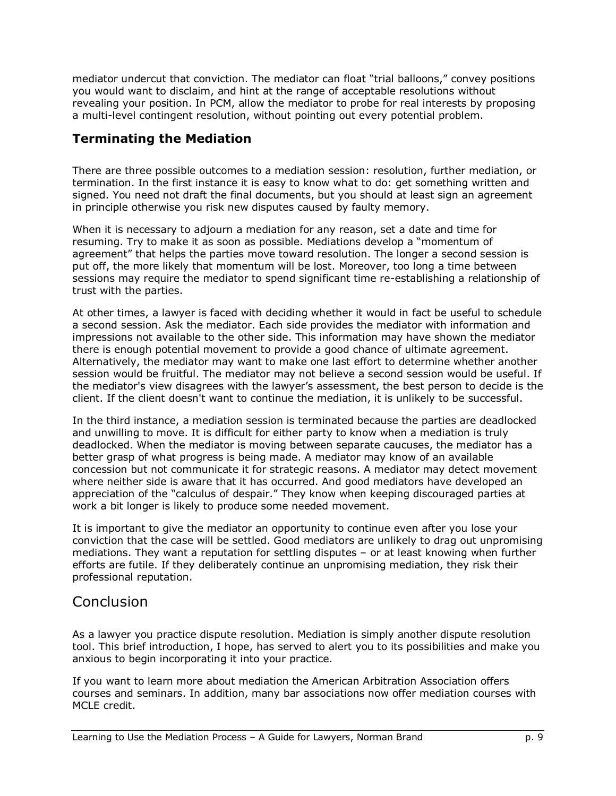mediator undercut that conviction. The mediator can float "trial balloons," convey positions you would want to disclaim, and hint at the range of acceptable resolutions without revealing your position. In PCM, allow the mediator to probe for real interests by proposing a multi-level contingent resolution, without pointing out every potential problem.

#### **Terminating the Mediation**

There are three possible outcomes to a mediation session: resolution, further mediation, or termination. In the first instance it is easy to know what to do: get something written and signed. You need not draft the final documents, but you should at least sign an agreement in principle otherwise you risk new disputes caused by faulty memory.

When it is necessary to adjourn a mediation for any reason, set a date and time for resuming. Try to make it as soon as possible. Mediations develop a "momentum of agreement" that helps the parties move toward resolution. The longer a second session is put off, the more likely that momentum will be lost. Moreover, too long a time between sessions may require the mediator to spend significant time re-establishing a relationship of trust with the parties.

At other times, a lawyer is faced with deciding whether it would in fact be useful to schedule a second session. Ask the mediator. Each side provides the mediator with information and impressions not available to the other side. This information may have shown the mediator there is enough potential movement to provide a good chance of ultimate agreement. Alternatively, the mediator may want to make one last effort to determine whether another session would be fruitful. The mediator may not believe a second session would be useful. If the mediator's view disagrees with the lawyerís assessment, the best person to decide is the client. If the client doesn't want to continue the mediation, it is unlikely to be successful.

In the third instance, a mediation session is terminated because the parties are deadlocked and unwilling to move. It is difficult for either party to know when a mediation is truly deadlocked. When the mediator is moving between separate caucuses, the mediator has a better grasp of what progress is being made. A mediator may know of an available concession but not communicate it for strategic reasons. A mediator may detect movement where neither side is aware that it has occurred. And good mediators have developed an appreciation of the "calculus of despair." They know when keeping discouraged parties at work a bit longer is likely to produce some needed movement.

It is important to give the mediator an opportunity to continue even after you lose your conviction that the case will be settled. Good mediators are unlikely to drag out unpromising mediations. They want a reputation for settling disputes  $-$  or at least knowing when further efforts are futile. If they deliberately continue an unpromising mediation, they risk their professional reputation.

## **Conclusion**

As a lawyer you practice dispute resolution. Mediation is simply another dispute resolution tool. This brief introduction, I hope, has served to alert you to its possibilities and make you anxious to begin incorporating it into your practice.

If you want to learn more about mediation the American Arbitration Association offers courses and seminars. In addition, many bar associations now offer mediation courses with MCLE credit.